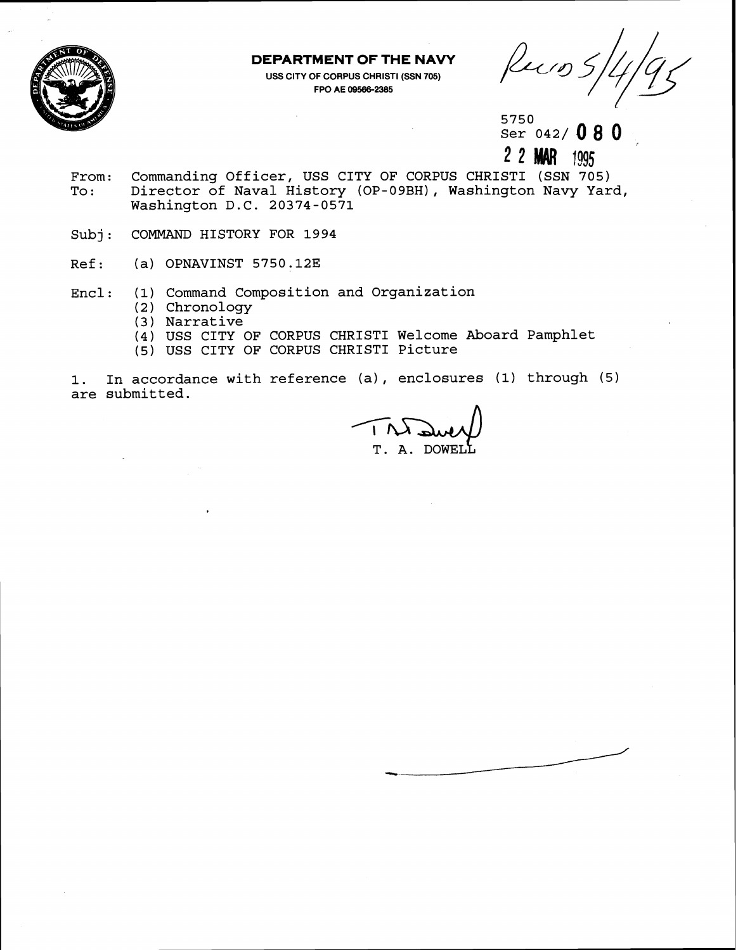

## **DEPARTMENT OF THE NAVY**

**USS CITY OF CORPUS CHRIST1 (SSN 705) FPO AE 095862385** 

Ruis

5750 Ser 042/080

**2 2** 11995

- From: Commanding Officer, USS CITY OF CORPUS CHRISTI (SSN 705)<br>To: Director of Naval History (OP-09BH), Washington Navy Yar Director of Naval History (OP-09BH), Washington Navy Yard, Washington D.C. 20374-0571
- Subj: COMMAND HISTORY FOR 1994
- Ref: (a) OPNAVINST 5750.12E
- Encl: (1) Command Composition and Organization
	- (2 ) Chronology
	- (3) Narrative
	- **(4)** USS CITY OF CORPUS CHRIST1 Welcome Aboard Pamphlet
	- (5) USS CITY OF CORPUS CHRIST1 Picture

1. In accordance with reference (a) , enclosures (1) through (5) are submitted.

T. A. DOWE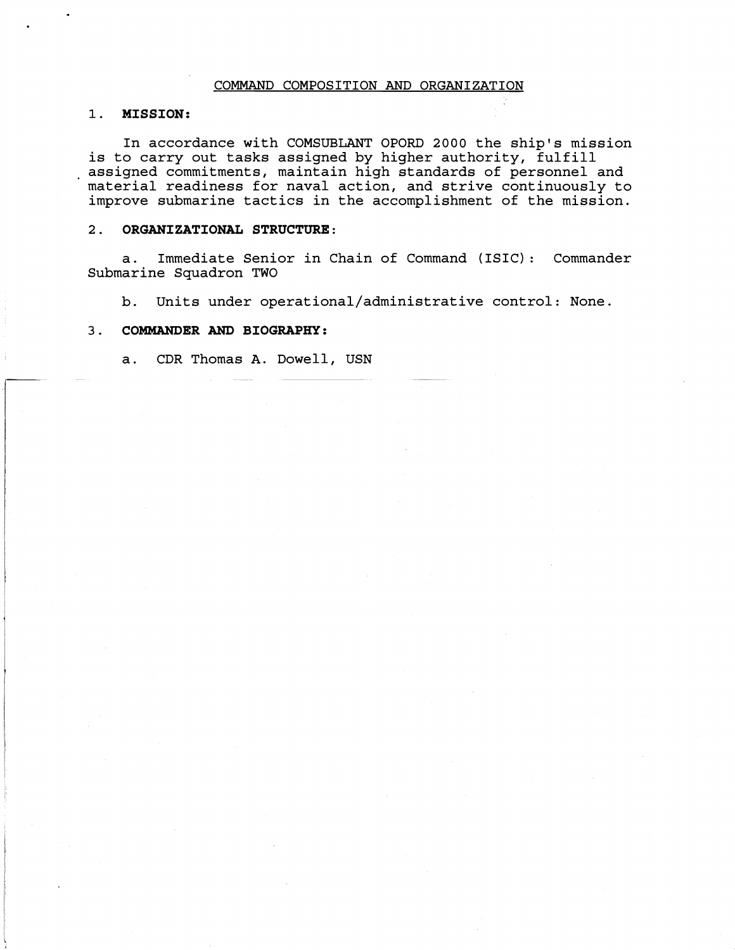## COMMAND COMPOSITION AND ORGANIZATION

# 1. MISSION:

In accordance with COMSUBLANT OPORD 2000 the ship's mission<br>is to carry out tasks assigned by higher authority, fulfill assigned commitments, maintain high standards of personnel and material readiness for naval action, and strive continuously to improve submarine tactics in the accomplishment of the mission.

### 2. ORGANIZATIONAL STRUCTURE:

a. Immediate Senior in Chain of Command (ISIC) : Commander Submarine Squadron TWO

b. Units under **operational/administrative** control: None.

## 3. COMMANDER AND BIOGRAPHY:

a. CDR Thomas A. Dowell, USN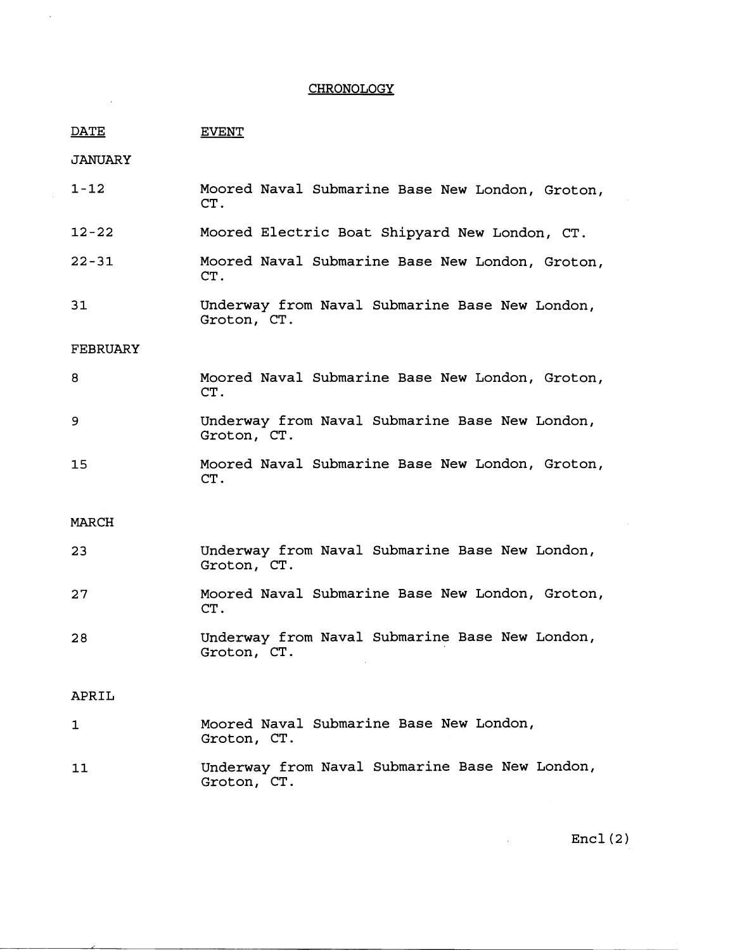## **CHRONOLOGY**

| DATE | <b>EVENT</b> |
|------|--------------|

**JANUARY** 

| $1 - 12$ |     | Moored Naval Submarine Base New London, Groton, |  |  |
|----------|-----|-------------------------------------------------|--|--|
|          | CT. |                                                 |  |  |

- $12 22$ Moored Electric Boat Shipyard New London, CT.
- $22 31$ Moored Naval Submarine Base New London, Groton, CT .
- $31$ Underway from Naval Submarine Base New London, Groton, CT.

# FEBRUARY

|     | Moored Naval Submarine Base New London, Groton, |  |  |  |
|-----|-------------------------------------------------|--|--|--|
| CT. |                                                 |  |  |  |

- Underway from Naval Submarine Base New London, 9 Groton, CT.
- Moored Naval Submarine Base New London, Groton, 15 CT.

#### MARCH

| 23 | Underway from Naval Submarine Base New London,<br>Groton, CT. |
|----|---------------------------------------------------------------|
| 27 | Moored Naval Submarine Base New London, Groton,<br>CT.        |
| 28 | Underway from Naval Submarine Base New London,<br>Groton, CT. |

## APRIL

- 1 Moored Naval Submarine Base New London, Groton, CT.
- Underway from Naval Submarine Base New London,  $11$ Groton, CT.

 $Encl(2)$ 

 $\mathbb{Z}^2$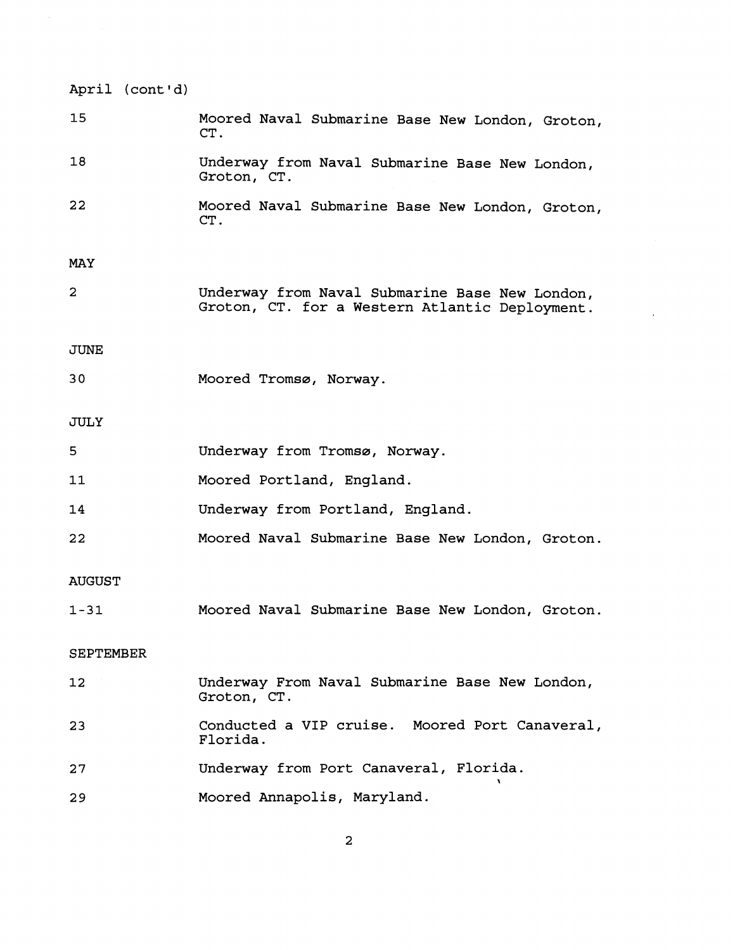| April (cont'd) |                                                                                                  |
|----------------|--------------------------------------------------------------------------------------------------|
| 15             | Moored Naval Submarine Base New London, Groton,<br>CT.                                           |
| 18             | Underway from Naval Submarine Base New London,<br>Groton, CT.                                    |
| 22             | Moored Naval Submarine Base New London, Groton,<br>CT.                                           |
| MAY            |                                                                                                  |
| 2              | Underway from Naval Submarine Base New London,<br>Groton, CT. for a Western Atlantic Deployment. |
| JUNE           |                                                                                                  |
| 30             | Moored Tromsø, Norway.                                                                           |
| JULY           |                                                                                                  |
| 5              | Underway from Tromsø, Norway.                                                                    |
| 11             | Moored Portland, England.                                                                        |
| 14             | Underway from Portland, England.                                                                 |
| 22             | Moored Naval Submarine Base New London, Groton.                                                  |
| <b>AUGUST</b>  |                                                                                                  |
| $1 - 31$       | Moored Naval Submarine Base New London, Groton.                                                  |
| SEPTEMBER      |                                                                                                  |
| $12 \,$        | Underway From Naval Submarine Base New London,<br>Groton, CT.                                    |
| 23             | Conducted a VIP cruise. Moored Port Canaveral,<br>Florida.                                       |
| 27             | Underway from Port Canaveral, Florida.                                                           |
| 29             | Moored Annapolis, Maryland.                                                                      |

 $\epsilon$ 

 $\bar{z}$ 

 $\overline{\mathbf{c}}$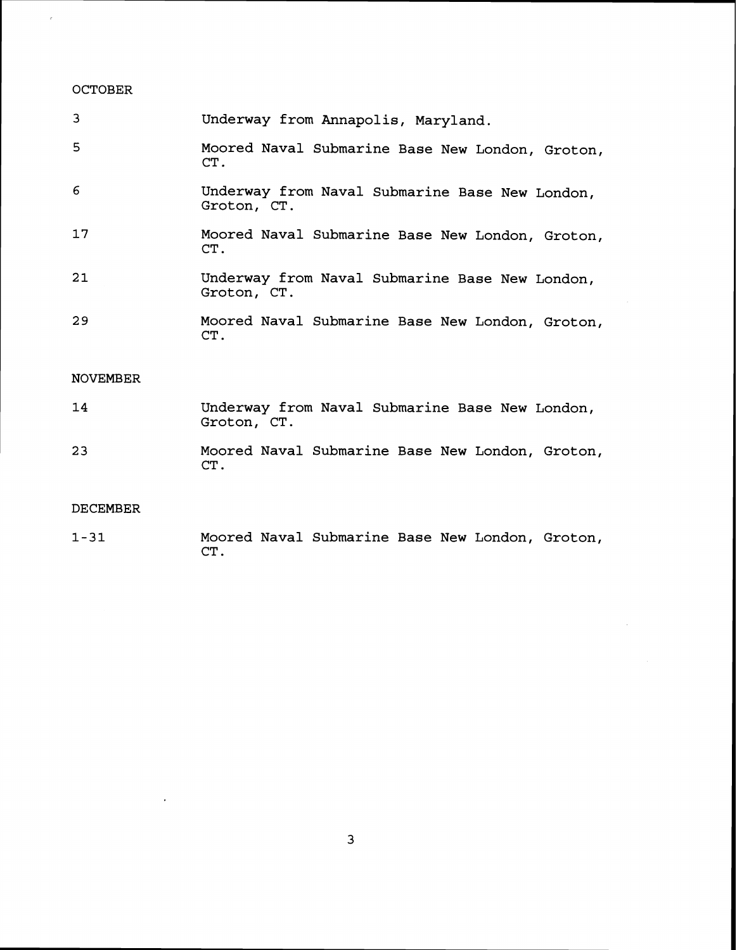# OCTOBER

 $\hat{c}$ 

| 3               | Underway from Annapolis, Maryland.                            |
|-----------------|---------------------------------------------------------------|
| 5               | Moored Naval Submarine Base New London, Groton,<br>CT.        |
| 6               | Underway from Naval Submarine Base New London,<br>Groton, CT. |
| 17              | Moored Naval Submarine Base New London, Groton,<br>CT.        |
| 21              | Underway from Naval Submarine Base New London,<br>Groton, CT. |
| 29              | Moored Naval Submarine Base New London, Groton,<br>CT.        |
| <b>NOVEMBER</b> |                                                               |

- 14 Underway from Naval Submarine Base New London, Groton, CT.
- Moored Naval Submarine Base New London, Groton, 23

# DECEMBER

**1-31**  Moored Naval Submarine Base New London, Groton, CT .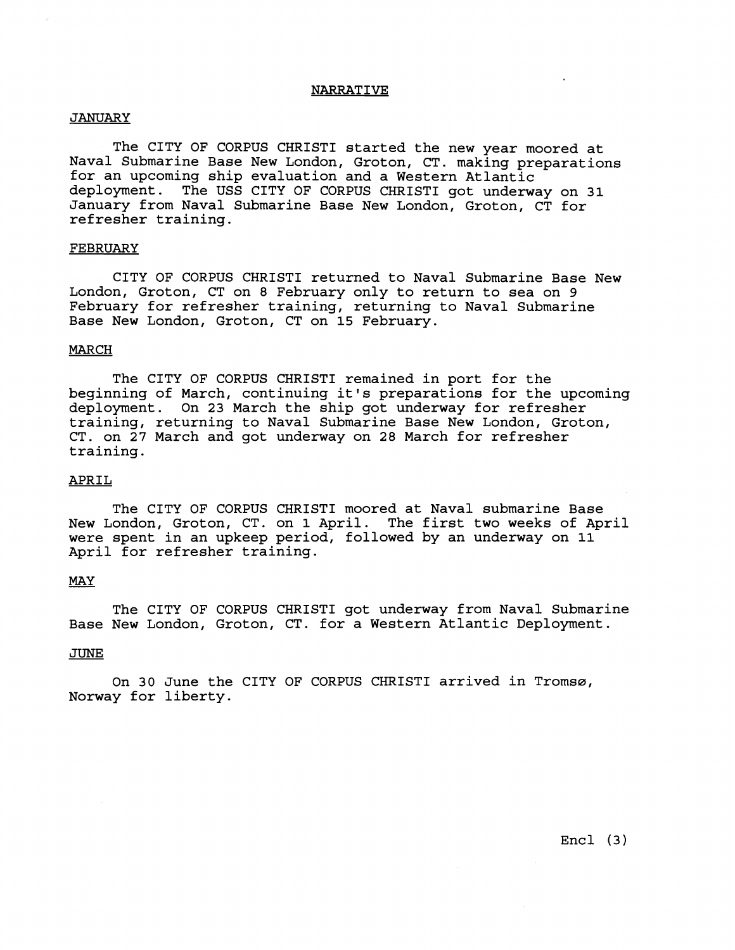#### NARRATIVE

## **JANUARY**

The CITY OF CORPUS CHRISTI started the new year moored at Naval Submarine Base New London, Groton, CT. making preparations for an upcoming ship evaluation and a Western Atlantic deployment. The USS CITY OF CORPUS CHRIST1 got underway on **31**  January from Naval Submarine Base New London, Groton, CT for refresher training.

#### FEBRUARY

CITY OF CORPUS CHRIST1 returned to Naval Submarine Base New London, Groton, CT on **8** February only to return to sea on 9 February for refresher training, returning to Naval Submarine Base New London, Groton, CT on **15** February.

#### **MARCH**

The CITY OF CORPUS CHRISTI remained in port for the beginning of March, continuing it's preparations for the upcoming deployment. On **23** March the ship got underway for refresher training, returning to Naval Submarine Base New London, Groton, CT. on **27** March and got underway on **28** March for refresher training.

# APRIL

The CITY OF CORPUS CHRIST1 moored at Naval submarine Base New London, Groton, CT. on 1 April. The first two weeks of April were spent in an upkeep period, followed by an underway on 11 April for refresher training.

## MAY

The CITY OF CORPUS CHRIST1 got underway from Naval Submarine Base New London, Groton, CT. for a Western Atlantic Deployment.

#### JUNE

On 30 June the CITY OF CORPUS CHRISTI arrived in Tromsø, Norway for liberty.

Encl **(3)**